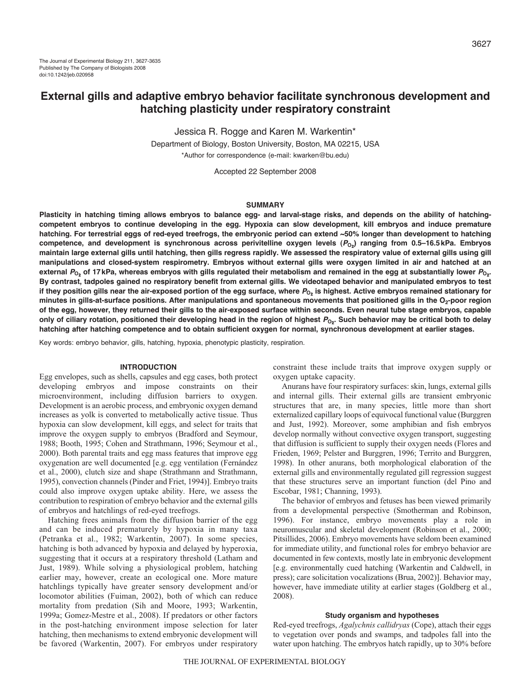# **External gills and adaptive embryo behavior facilitate synchronous development and hatching plasticity under respiratory constraint**

Jessica R. Rogge and Karen M. Warkentin\*

Department of Biology, Boston University, Boston, MA 02215, USA \*Author for correspondence (e-mail: kwarken@bu.edu)

Accepted 22 September 2008

#### **SUMMARY**

**Plasticity in hatching timing allows embryos to balance egg- and larval-stage risks, and depends on the ability of hatchingcompetent embryos to continue developing in the egg. Hypoxia can slow development, kill embryos and induce premature hatching. For terrestrial eggs of red-eyed treefrogs, the embryonic period can extend ~50% longer than development to hatching** competence, and development is synchronous across perivitelline oxygen levels (P<sub>O<sub>2</sub>) ranging from 0.5–16.5kPa. Embryos</sub> **maintain large external gills until hatching, then gills regress rapidly. We assessed the respiratory value of external gills using gill manipulations and closed-system respirometry. Embryos without external gills were oxygen limited in air and hatched at an** external  $P_0$ , of 17kPa, whereas embryos with gills regulated their metabolism and remained in the egg at substantially lower  $P_0$ . **By contrast, tadpoles gained no respiratory benefit from external gills. We videotaped behavior and manipulated embryos to test** if they position gills near the air-exposed portion of the egg surface, where  $P_{O_2}$  is highest. Active embryos remained stationary for minutes in gills-at-surface positions. After manipulations and spontaneous movements that positioned gills in the O<sub>2</sub>-poor region **of the egg, however, they returned their gills to the air-exposed surface within seconds. Even neural tube stage embryos, capable** only of ciliary rotation, positioned their developing head in the region of highest  $P_{02}$ . Such behavior may be critical both to delay **hatching after hatching competence and to obtain sufficient oxygen for normal, synchronous development at earlier stages.**

Key words: embryo behavior, gills, hatching, hypoxia, phenotypic plasticity, respiration.

## **INTRODUCTION**

Egg envelopes, such as shells, capsules and egg cases, both protect developing embryos and impose constraints on their microenvironment, including diffusion barriers to oxygen. Development is an aerobic process, and embryonic oxygen demand increases as yolk is converted to metabolically active tissue. Thus hypoxia can slow development, kill eggs, and select for traits that improve the oxygen supply to embryos (Bradford and Seymour, 1988; Booth, 1995; Cohen and Strathmann, 1996; Seymour et al., 2000). Both parental traits and egg mass features that improve egg oxygenation are well documented [e.g. egg ventilation (Fernández et al., 2000), clutch size and shape (Strathmann and Strathmann, 1995), convection channels (Pinder and Friet, 1994)]. Embryo traits could also improve oxygen uptake ability. Here, we assess the contribution to respiration of embryo behavior and the external gills of embryos and hatchlings of red-eyed treefrogs.

Hatching frees animals from the diffusion barrier of the egg and can be induced prematurely by hypoxia in many taxa (Petranka et al., 1982; Warkentin, 2007). In some species, hatching is both advanced by hypoxia and delayed by hyperoxia, suggesting that it occurs at a respiratory threshold (Latham and Just, 1989). While solving a physiological problem, hatching earlier may, however, create an ecological one. More mature hatchlings typically have greater sensory development and/or locomotor abilities (Fuiman, 2002), both of which can reduce mortality from predation (Sih and Moore, 1993; Warkentin, 1999a; Gomez-Mestre et al., 2008). If predators or other factors in the post-hatching environment impose selection for later hatching, then mechanisms to extend embryonic development will be favored (Warkentin, 2007). For embryos under respiratory constraint these include traits that improve oxygen supply or oxygen uptake capacity.

Anurans have four respiratory surfaces: skin, lungs, external gills and internal gills. Their external gills are transient embryonic structures that are, in many species, little more than short externalized capillary loops of equivocal functional value (Burggren and Just, 1992). Moreover, some amphibian and fish embryos develop normally without convective oxygen transport, suggesting that diffusion is sufficient to supply their oxygen needs (Flores and Frieden, 1969; Pelster and Burggren, 1996; Territo and Burggren, 1998). In other anurans, both morphological elaboration of the external gills and environmentally regulated gill regression suggest that these structures serve an important function (del Pino and Escobar, 1981; Channing, 1993).

The behavior of embryos and fetuses has been viewed primarily from a developmental perspective (Smotherman and Robinson, 1996). For instance, embryo movements play a role in neuromuscular and skeletal development (Robinson et al., 2000; Pitsillides, 2006). Embryo movements have seldom been examined for immediate utility, and functional roles for embryo behavior are documented in few contexts, mostly late in embryonic development [e.g. environmentally cued hatching (Warkentin and Caldwell, in press); care solicitation vocalizations (Brua, 2002)]. Behavior may, however, have immediate utility at earlier stages (Goldberg et al., 2008).

#### **Study organism and hypotheses**

Red-eyed treefrogs, *Agalychnis callidryas* (Cope), attach their eggs to vegetation over ponds and swamps, and tadpoles fall into the water upon hatching. The embryos hatch rapidly, up to 30% before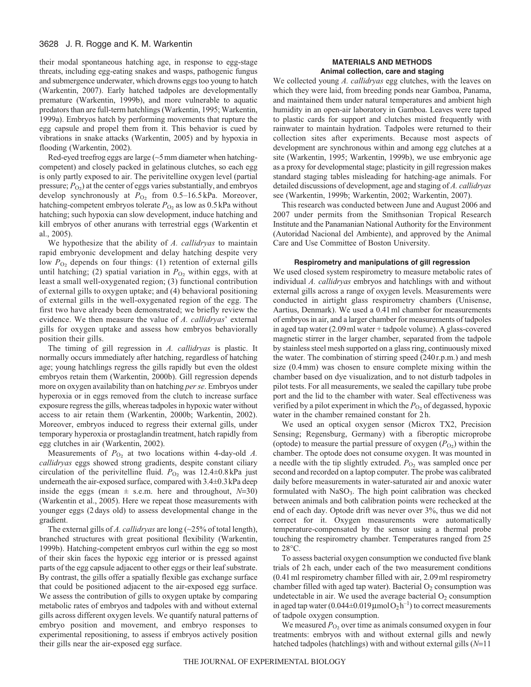their modal spontaneous hatching age, in response to egg-stage threats, including egg-eating snakes and wasps, pathogenic fungus and submergence underwater, which drowns eggs too young to hatch (Warkentin, 2007). Early hatched tadpoles are developmentally premature (Warkentin, 1999b), and more vulnerable to aquatic predators than are full-term hatchlings (Warkentin, 1995; Warkentin, 1999a). Embryos hatch by performing movements that rupture the egg capsule and propel them from it. This behavior is cued by vibrations in snake attacks (Warkentin, 2005) and by hypoxia in flooding (Warkentin, 2002).

Red-eyed treefrog eggs are large (~5mm diameter when hatchingcompetent) and closely packed in gelatinous clutches, so each egg is only partly exposed to air. The perivitelline oxygen level (partial pressure;  $P_{\text{O}_2}$ ) at the center of eggs varies substantially, and embryos develop synchronously at  $P_{O_2}$  from 0.5–16.5 kPa. Moreover, hatching-competent embryos tolerate  $P_{\text{O}_2}$  as low as 0.5 kPa without hatching; such hypoxia can slow development, induce hatching and kill embryos of other anurans with terrestrial eggs (Warkentin et al., 2005).

We hypothesize that the ability of *A. callidryas* to maintain rapid embryonic development and delay hatching despite very low  $P<sub>O2</sub>$  depends on four things: (1) retention of external gills until hatching; (2) spatial variation in  $P_{O_2}$  within eggs, with at least a small well-oxygenated region; (3) functional contribution of external gills to oxygen uptake; and (4) behavioral positioning of external gills in the well-oxygenated region of the egg. The first two have already been demonstrated; we briefly review the evidence. We then measure the value of *A. callidryas*' external gills for oxygen uptake and assess how embryos behaviorally position their gills.

The timing of gill regression in *A. callidryas* is plastic. It normally occurs immediately after hatching, regardless of hatching age; young hatchlings regress the gills rapidly but even the oldest embryos retain them (Warkentin, 2000b). Gill regression depends more on oxygen availability than on hatching *per se*. Embryos under hyperoxia or in eggs removed from the clutch to increase surface exposure regress the gills, whereas tadpoles in hypoxic water without access to air retain them (Warkentin, 2000b; Warkentin, 2002). Moreover, embryos induced to regress their external gills, under temporary hyperoxia or prostaglandin treatment, hatch rapidly from egg clutches in air (Warkentin, 2002).

Measurements of  $P_{\text{O}_2}$  at two locations within 4-day-old *A*. *callidryas* eggs showed strong gradients, despite constant ciliary circulation of the perivitelline fluid.  $P_{\text{O}_2}$  was 12.4±0.8kPa just underneath the air-exposed surface, compared with 3.4±0.3kPa deep inside the eggs (mean  $\pm$  s.e.m. here and throughout,  $N=30$ ) (Warkentin et al., 2005). Here we repeat those measurements with younger eggs (2days old) to assess developmental change in the gradient.

The external gills of *A. callidryas* are long (~25% of total length), branched structures with great positional flexibility (Warkentin, 1999b). Hatching-competent embryos curl within the egg so most of their skin faces the hypoxic egg interior or is pressed against parts of the egg capsule adjacent to other eggs or their leaf substrate. By contrast, the gills offer a spatially flexible gas exchange surface that could be positioned adjacent to the air-exposed egg surface. We assess the contribution of gills to oxygen uptake by comparing metabolic rates of embryos and tadpoles with and without external gills across different oxygen levels. We quantify natural patterns of embryo position and movement, and embryo responses to experimental repositioning, to assess if embryos actively position their gills near the air-exposed egg surface.

## **MATERIALS AND METHODS Animal collection, care and staging**

We collected young *A. callidryas* egg clutches, with the leaves on which they were laid, from breeding ponds near Gamboa, Panama, and maintained them under natural temperatures and ambient high humidity in an open-air laboratory in Gamboa. Leaves were taped to plastic cards for support and clutches misted frequently with rainwater to maintain hydration. Tadpoles were returned to their collection sites after experiments. Because most aspects of development are synchronous within and among egg clutches at a site (Warkentin, 1995; Warkentin, 1999b), we use embryonic age as a proxy for developmental stage; plasticity in gill regression makes standard staging tables misleading for hatching-age animals. For detailed discussions of development, age and staging of *A. callidryas* see (Warkentin, 1999b; Warkentin, 2002; Warkentin, 2007).

This research was conducted between June and August 2006 and 2007 under permits from the Smithsonian Tropical Research Institute and the Panamanian National Authority for the Environment (Autoridad Nacional del Ambiente), and approved by the Animal Care and Use Committee of Boston University.

#### **Respirometry and manipulations of gill regression**

We used closed system respirometry to measure metabolic rates of individual *A. callidryas* embryos and hatchlings with and without external gills across a range of oxygen levels. Measurements were conducted in airtight glass respirometry chambers (Unisense, Aartius, Denmark). We used a 0.41ml chamber for measurements of embryos in air, and a larger chamber for measurements of tadpoles in aged tap water (2.09ml water + tadpole volume). A glass-covered magnetic stirrer in the larger chamber, separated from the tadpole by stainless steel mesh supported on a glass ring, continuously mixed the water. The combination of stirring speed (240r.p.m.) and mesh size (0.4mm) was chosen to ensure complete mixing within the chamber based on dye visualization, and to not disturb tadpoles in pilot tests. For all measurements, we sealed the capillary tube probe port and the lid to the chamber with water. Seal effectiveness was verified by a pilot experiment in which the  $P_{\text{O}_2}$  of degassed, hypoxic water in the chamber remained constant for 2h.

We used an optical oxygen sensor (Microx TX2, Precision Sensing; Regensburg, Germany) with a fiberoptic microprobe (optode) to measure the partial pressure of oxygen  $(P<sub>O2</sub>)$  within the chamber. The optode does not consume oxygen. It was mounted in a needle with the tip slightly extruded.  $P_{\text{O}_2}$  was sampled once per second and recorded on a laptop computer. The probe was calibrated daily before measurements in water-saturated air and anoxic water formulated with NaSO<sub>3</sub>. The high point calibration was checked between animals and both calibration points were rechecked at the end of each day. Optode drift was never over 3%, thus we did not correct for it. Oxygen measurements were automatically temperature-compensated by the sensor using a thermal probe touching the respirometry chamber. Temperatures ranged from 25 to 28°C.

To assess bacterial oxygen consumption we conducted five blank trials of 2h each, under each of the two measurement conditions (0.41ml respirometry chamber filled with air, 2.09ml respirometry chamber filled with aged tap water). Bacterial  $O_2$  consumption was undetectable in air. We used the average bacterial  $O_2$  consumption in aged tap water  $(0.044\pm0.019 \,\mu\text{mol}\,\text{O}_2\,\text{h}^{-1})$  to correct measurements of tadpole oxygen consumption.

We measured  $P_{\text{O}_2}$  over time as animals consumed oxygen in four treatments: embryos with and without external gills and newly hatched tadpoles (hatchlings) with and without external gills (*N*=11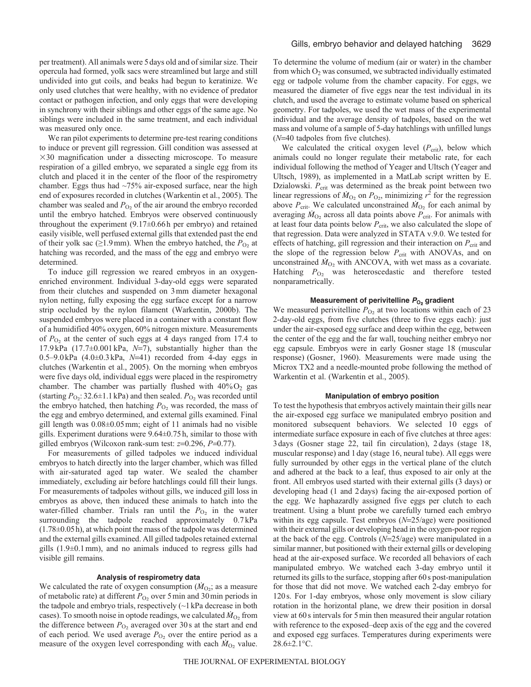per treatment). All animals were 5days old and of similar size. Their opercula had formed, yolk sacs were streamlined but large and still undivided into gut coils, and beaks had begun to keratinize. We only used clutches that were healthy, with no evidence of predator contact or pathogen infection, and only eggs that were developing in synchrony with their siblings and other eggs of the same age. No siblings were included in the same treatment, and each individual was measured only once.

We ran pilot experiments to determine pre-test rearing conditions to induce or prevent gill regression. Gill condition was assessed at  $\times$ 30 magnification under a dissecting microscope. To measure respiration of a gilled embryo, we separated a single egg from its clutch and placed it in the center of the floor of the respirometry chamber. Eggs thus had ~75% air-exposed surface, near the high end of exposures recorded in clutches (Warkentin et al., 2005). The chamber was sealed and  $P_{\text{O}_2}$  of the air around the embryo recorded until the embryo hatched. Embryos were observed continuously throughout the experiment (9.17±0.66h per embryo) and retained easily visible, well perfused external gills that extended past the end of their yolk sac ( $\geq$ 1.9mm). When the embryo hatched, the  $P_{O_2}$  at hatching was recorded, and the mass of the egg and embryo were determined.

To induce gill regression we reared embryos in an oxygenenriched environment. Individual 3-day-old eggs were separated from their clutches and suspended on 3mm diameter hexagonal nylon netting, fully exposing the egg surface except for a narrow strip occluded by the nylon filament (Warkentin, 2000b). The suspended embryos were placed in a container with a constant flow of a humidified 40% oxygen, 60% nitrogen mixture. Measurements of  $P_{\text{O}_2}$  at the center of such eggs at 4 days ranged from 17.4 to 17.9 kPa (17.7±0.001 kPa, *N*=7), substantially higher than the 0.5–9.0kPa (4.0±0.3kPa, *N*=41) recorded from 4-day eggs in clutches (Warkentin et al., 2005). On the morning when embryos were five days old, individual eggs were placed in the respirometry chamber. The chamber was partially flushed with  $40\%$   $O<sub>2</sub>$  gas (starting  $P_{\text{O}_2}$ : 32.6±1.1kPa) and then sealed.  $P_{\text{O}_2}$  was recorded until the embryo hatched, then hatching  $P_{\text{O}_2}$  was recorded, the mass of the egg and embryo determined, and external gills examined. Final gill length was 0.08±0.05mm; eight of 11 animals had no visible gills. Experiment durations were 9.64±0.75h, similar to those with gilled embryos (Wilcoxon rank-sum test: *z*=0.296, *P*=0.77).

For measurements of gilled tadpoles we induced individual embryos to hatch directly into the larger chamber, which was filled with air-saturated aged tap water. We sealed the chamber immediately, excluding air before hatchlings could fill their lungs. For measurements of tadpoles without gills, we induced gill loss in embryos as above, then induced these animals to hatch into the water-filled chamber. Trials ran until the  $P_{\text{O}_2}$  in the water surrounding the tadpole reached approximately 0.7 kPa (1.78±0.05h), at which point the mass of the tadpole was determined and the external gills examined. All gilled tadpoles retained external gills (1.9±0.1mm), and no animals induced to regress gills had visible gill remains.

### **Analysis of respirometry data**

We calculated the rate of oxygen consumption  $(M<sub>O2</sub>)$ ; as a measure of metabolic rate) at different  $P_{\text{O}_2}$  over 5 min and 30 min periods in the tadpole and embryo trials, respectively  $(\sim]$  kPa decrease in both cases). To smooth noise in optode readings, we calculated  $\dot{M}_{\text{O}_2}$  from the difference between  $P_{\text{O}_2}$  averaged over 30s at the start and end of each period. We used average  $P_{\text{O}_2}$  over the entire period as a measure of the oxygen level corresponding with each  $\dot{M}_{O_2}$  value. To determine the volume of medium (air or water) in the chamber from which  $O_2$  was consumed, we subtracted individually estimated egg or tadpole volume from the chamber capacity. For eggs, we measured the diameter of five eggs near the test individual in its clutch, and used the average to estimate volume based on spherical geometry. For tadpoles, we used the wet mass of the experimental individual and the average density of tadpoles, based on the wet mass and volume of a sample of 5-day hatchlings with unfilled lungs (*N*=40 tadpoles from five clutches).

We calculated the critical oxygen level ( $P_{\text{crit}}$ ), below which animals could no longer regulate their metabolic rate, for each individual following the method of Yeager and Ultsch (Yeager and Ultsch, 1989), as implemented in a MatLab script written by E. Dzialowski.  $P_{\text{crit}}$  was determined as the break point between two linear regressions of  $\dot{M}_{O_2}$  on  $P_{O_2}$ , minimizing  $r^2$  for the regression above  $P_{\text{crit}}$ . We calculated unconstrained  $\dot{M}_{\text{O}_2}$  for each animal by averaging  $\dot{M}_{\text{O}_2}$  across all data points above  $P_{\text{crit}}$ . For animals with at least four data points below  $P_{\text{crit}}$ , we also calculated the slope of that regression. Data were analyzed in STATA v.9.0. We tested for effects of hatching, gill regression and their interaction on  $P_{\text{crit}}$  and the slope of the regression below  $P_{\text{crit}}$  with ANOVAs, and on unconstrained  $\dot{M}_{O_2}$  with ANCOVA, with wet mass as a covariate. Hatching  $P_{\text{O}_2}$  was heteroscedastic and therefore tested nonparametrically.

## **Measurement of perivitelline**  $P_{O_2}$  **gradient**

We measured perivitelline  $P_{\text{O}_2}$  at two locations within each of 23 2-day-old eggs, from five clutches (three to five eggs each): just under the air-exposed egg surface and deep within the egg, between the center of the egg and the far wall, touching neither embryo nor egg capsule. Embryos were in early Gosner stage 18 (muscular response) (Gosner, 1960). Measurements were made using the Microx TX2 and a needle-mounted probe following the method of Warkentin et al. (Warkentin et al., 2005).

### **Manipulation of embryo position**

To test the hypothesis that embryos actively maintain their gills near the air-exposed egg surface we manipulated embryo position and monitored subsequent behaviors. We selected 10 eggs of intermediate surface exposure in each of five clutches at three ages: 3days (Gosner stage 22, tail fin circulation), 2days (stage 18, muscular response) and 1day (stage 16, neural tube). All eggs were fully surrounded by other eggs in the vertical plane of the clutch and adhered at the back to a leaf, thus exposed to air only at the front. All embryos used started with their external gills (3 days) or developing head (1 and 2days) facing the air-exposed portion of the egg. We haphazardly assigned five eggs per clutch to each treatment. Using a blunt probe we carefully turned each embryo within its egg capsule. Test embryos (*N*=25/age) were positioned with their external gills or developing head in the oxygen-poor region at the back of the egg. Controls (*N*=25/age) were manipulated in a similar manner, but positioned with their external gills or developing head at the air-exposed surface. We recorded all behaviors of each manipulated embryo. We watched each 3-day embryo until it returned its gills to the surface, stopping after 60s post-manipulation for those that did not move. We watched each 2-day embryo for 120s. For 1-day embryos, whose only movement is slow ciliary rotation in the horizontal plane, we drew their position in dorsal view at 60s intervals for 5min then measured their angular rotation with reference to the exposed–deep axis of the egg and the covered and exposed egg surfaces. Temperatures during experiments were 28.6±2.1°C.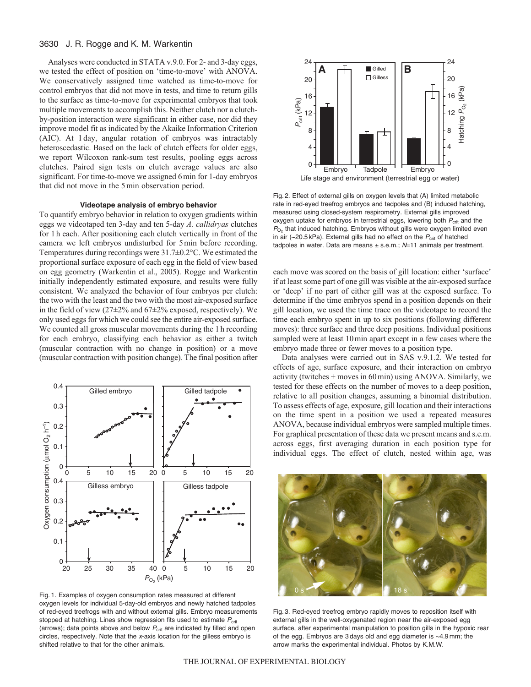## 3630 J. R. Rogge and K. M. Warkentin

Analyses were conducted in STATA v.9.0. For 2- and 3-day eggs, we tested the effect of position on 'time-to-move' with ANOVA. We conservatively assigned time watched as time-to-move for control embryos that did not move in tests, and time to return gills to the surface as time-to-move for experimental embryos that took multiple movements to accomplish this. Neither clutch nor a clutchby-position interaction were significant in either case, nor did they improve model fit as indicated by the Akaike Information Criterion (AIC). At 1 day, angular rotation of embryos was intractably heteroscedastic. Based on the lack of clutch effects for older eggs, we report Wilcoxon rank-sum test results, pooling eggs across clutches. Paired sign tests on clutch average values are also significant. For time-to-move we assigned 6min for 1-day embryos that did not move in the 5min observation period.

## **Videotape analysis of embryo behavior**

To quantify embryo behavior in relation to oxygen gradients within eggs we videotaped ten 3-day and ten 5-day *A. callidryas* clutches for 1h each. After positioning each clutch vertically in front of the camera we left embryos undisturbed for 5min before recording. Temperatures during recordings were 31.7±0.2°C. We estimated the proportional surface exposure of each egg in the field of view based on egg geometry (Warkentin et al., 2005). Rogge and Warkentin initially independently estimated exposure, and results were fully consistent. We analyzed the behavior of four embryos per clutch: the two with the least and the two with the most air-exposed surface in the field of view (27±2% and 67±2% exposed, respectively). We only used eggs for which we could see the entire air-exposed surface. We counted all gross muscular movements during the 1h recording for each embryo, classifying each behavior as either a twitch (muscular contraction with no change in position) or a move (muscular contraction with position change). The final position after



Fig. 1. Examples of oxygen consumption rates measured at different oxygen levels for individual 5-day-old embryos and newly hatched tadpoles of red-eyed treefrogs with and without external gills. Embryo measurements stopped at hatching. Lines show regression fits used to estimate  $P_{\text{crit}}$ (arrows); data points above and below  $P_{\text{crit}}$  are indicated by filled and open circles, respectively. Note that the  $x$ -axis location for the gilless embryo is shifted relative to that for the other animals.



Fig. 2. Effect of external gills on oxygen levels that (A) limited metabolic rate in red-eyed treefrog embryos and tadpoles and (B) induced hatching, measured using closed-system respirometry. External gills improved oxygen uptake for embryos in terrestrial eggs, lowering both  $P_{\text{crit}}$  and the  $P_{\text{O}_2}$  that induced hatching. Embryos without gills were oxygen limited even in air ( $\sim$ 20.5 kPa). External gills had no effect on the  $P_{\text{crit}}$  of hatched tadpoles in water. Data are means  $\pm$  s.e.m.;  $N=11$  animals per treatment.

each move was scored on the basis of gill location: either 'surface' if at least some part of one gill was visible at the air-exposed surface or 'deep' if no part of either gill was at the exposed surface. To determine if the time embryos spend in a position depends on their gill location, we used the time trace on the videotape to record the time each embryo spent in up to six positions (following different moves): three surface and three deep positions. Individual positions sampled were at least 10min apart except in a few cases where the embryo made three or fewer moves to a position type.

Data analyses were carried out in SAS v.9.1.2. We tested for effects of age, surface exposure, and their interaction on embryo activity (twitches + moves in 60min) using ANOVA. Similarly, we tested for these effects on the number of moves to a deep position, relative to all position changes, assuming a binomial distribution. To assess effects of age, exposure, gill location and their interactions on the time spent in a position we used a repeated measures ANOVA, because individual embryos were sampled multiple times. For graphical presentation of these data we present means and s.e.m. across eggs, first averaging duration in each position type for individual eggs. The effect of clutch, nested within age, was



Fig. 3. Red-eyed treefrog embryo rapidly moves to reposition itself with external gills in the well-oxygenated region near the air-exposed egg surface, after experimental manipulation to position gills in the hypoxic rear of the egg. Embryos are 3 days old and egg diameter is ~4.9 mm; the arrow marks the experimental individual. Photos by K.M.W.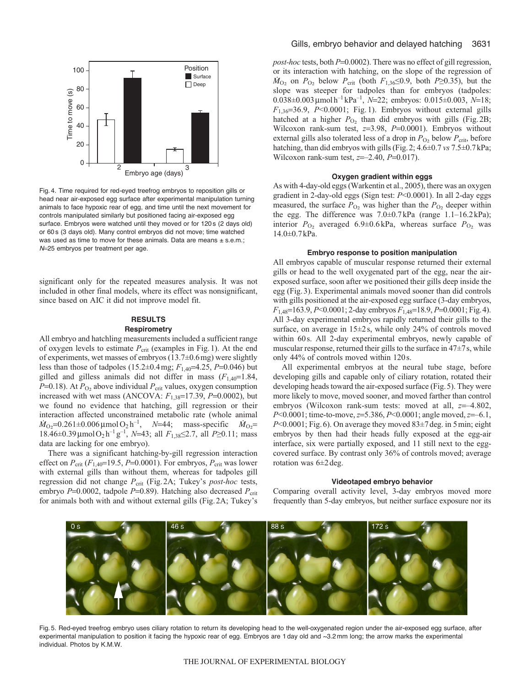

Fig. 4. Time required for red-eyed treefrog embryos to reposition gills or head near air-exposed egg surface after experimental manipulation turning animals to face hypoxic rear of egg, and time until the next movement for controls manipulated similarly but positioned facing air-exposed egg surface. Embryos were watched until they moved or for 120 s (2 days old) or 60 s (3 days old). Many control embryos did not move; time watched was used as time to move for these animals. Data are means  $\pm$  s.e.m.; N=25 embryos per treatment per age.

significant only for the repeated measures analysis. It was not included in other final models, where its effect was nonsignificant, since based on AIC it did not improve model fit.

## **RESULTS**

## **Respirometry**

All embryo and hatchling measurements included a sufficient range of oxygen levels to estimate  $P_{\text{crit}}$  (examples in Fig.1). At the end of experiments, wet masses of embryos (13.7±0.6mg) were slightly less than those of tadpoles  $(15.2 \pm 0.4 \text{ mg}; F_{1,40} = 4.25, P = 0.046)$  but gilled and gilless animals did not differ in mass (*F*1,40=1.84, *P*=0.18). At  $P_{\text{O}_2}$  above individual  $P_{\text{crit}}$  values, oxygen consumption increased with wet mass (ANCOVA:  $F_{1,38}$ =17.39,  $P$ =0.0002), but we found no evidence that hatching, gill regression or their interaction affected unconstrained metabolic rate (whole animal  $\dot{M}_{\text{O}_2}$ =0.261±0.006 µmol O<sub>2</sub> h<sup>-1</sup>, *N*=44; mass-specific  $\dot{M}_{\text{O}_2}$ = 18.46±0.39μmolO2 h–1 g–1, *N*=43; all *F*1,38≤2.7, all *P*≥0.11; mass data are lacking for one embryo).

There was a significant hatching-by-gill regression interaction effect on  $P_{\text{crit}}$  ( $F_{1,40}$ =19.5,  $P$ =0.0001). For embryos,  $P_{\text{crit}}$  was lower with external gills than without them, whereas for tadpoles gill regression did not change  $P_{\text{crit}}$  (Fig.2A; Tukey's *post-hoc* tests, embryo *P*=0.0002, tadpole *P*=0.89). Hatching also decreased *P*<sub>crit</sub> for animals both with and without external gills (Fig.2A; Tukey's *post-hoc* tests, both *P*=0.0002). There was no effect of gill regression, or its interaction with hatching, on the slope of the regression of  $\dot{M}_{\text{O}_2}$  on  $P_{\text{O}_2}$  below  $P_{\text{crit}}$  (both  $F_{1,36} \le 0.9$ , both  $P \ge 0.35$ ), but the slope was steeper for tadpoles than for embryos (tadpoles:  $0.038\pm0.003 \mu$ molh<sup>-1</sup> kPa<sup>-1</sup>,  $N=22$ ; embryos:  $0.015\pm0.003$ ,  $N=18$ ;  $F_{1,36}=36.9$ ,  $P<0.0001$ ; Fig. 1). Embryos without external gills hatched at a higher  $P_{O_2}$  than did embryos with gills (Fig. 2B; Wilcoxon rank-sum test, *z*=3.98, *P*=0.0001). Embryos without external gills also tolerated less of a drop in  $P_{O_2}$  below  $P_{\text{crit}}$ , before hatching, than did embryos with gills (Fig.2; 4.6±0.7 *vs* 7.5±0.7kPa; Wilcoxon rank-sum test, *z*=–2.40, *P*=0.017).

#### **Oxygen gradient within eggs**

As with 4-day-old eggs (Warkentin et al., 2005), there was an oxygen gradient in 2-day-old eggs (Sign test: *P*<0.0001). In all 2-day eggs measured, the surface  $P_{\text{O}_2}$  was higher than the  $P_{\text{O}_2}$  deeper within the egg. The difference was 7.0±0.7kPa (range 1.1–16.2kPa); interior  $P_{O_2}$  averaged 6.9±0.6 kPa, whereas surface  $P_{O_2}$  was 14.0±0.7kPa.

#### **Embryo response to position manipulation**

All embryos capable of muscular response returned their external gills or head to the well oxygenated part of the egg, near the airexposed surface, soon after we positioned their gills deep inside the egg (Fig.3). Experimental animals moved sooner than did controls with gills positioned at the air-exposed egg surface (3-day embryos, *F*1,48=163.9, *P*<0.0001; 2-day embryos *F*1,48=18.9, *P*=0.0001; Fig.4). All 3-day experimental embryos rapidly returned their gills to the surface, on average in 15±2s, while only 24% of controls moved within 60s. All 2-day experimental embryos, newly capable of muscular response, returned their gills to the surface in  $47\pm7$  s, while only 44% of controls moved within 120s.

All experimental embryos at the neural tube stage, before developing gills and capable only of ciliary rotation, rotated their developing heads toward the air-exposed surface (Fig.5). They were more likely to move, moved sooner, and moved farther than control embryos (Wilcoxon rank-sum tests: moved at all, *z*=–4.802, *P*<0.0001; time-to-move, *z*=5.386, *P*<0.0001; angle moved, *z*=–6.1, *P*<0.0001; Fig.6). On average they moved 83±7deg. in 5min; eight embryos by then had their heads fully exposed at the egg-air interface, six were partially exposed, and 11 still next to the eggcovered surface. By contrast only 36% of controls moved; average rotation was 6±2deg.

#### **Videotaped embryo behavior**

Comparing overall activity level, 3-day embryos moved more frequently than 5-day embryos, but neither surface exposure nor its



Fig. 5. Red-eyed treefrog embryo uses ciliary rotation to return its developing head to the well-oxygenated region under the air-exposed egg surface, after experimental manipulation to position it facing the hypoxic rear of egg. Embryos are 1 day old and ~3.2 mm long; the arrow marks the experimental individual. Photos by K.M.W.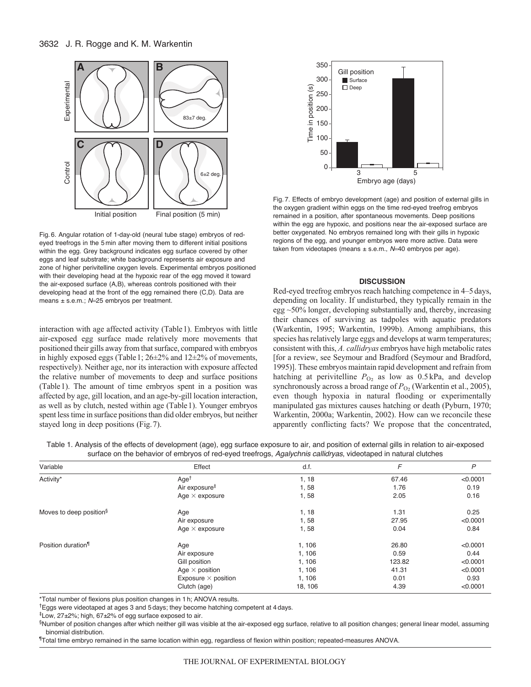

Fig. 6. Angular rotation of 1-day-old (neural tube stage) embryos of redeyed treefrogs in the 5 min after moving them to different initial positions within the egg. Grey background indicates egg surface covered by other eggs and leaf substrate; white background represents air exposure and zone of higher perivitelline oxygen levels. Experimental embryos positioned with their developing head at the hypoxic rear of the egg moved it toward the air-exposed surface (A,B), whereas controls positioned with their developing head at the front of the egg remained there (C,D). Data are means  $\pm$  s.e.m.; N=25 embryos per treatment.

interaction with age affected activity (Table1). Embryos with little air-exposed egg surface made relatively more movements that positioned their gills away from that surface, compared with embryos in highly exposed eggs (Table1; 26±2% and 12±2% of movements, respectively). Neither age, nor its interaction with exposure affected the relative number of movements to deep and surface positions (Table1). The amount of time embryos spent in a position was affected by age, gill location, and an age-by-gill location interaction, as well as by clutch, nested within age (Table1). Younger embryos spent less time in surface positions than did older embryos, but neither stayed long in deep positions (Fig.7).



Fig. 7. Effects of embryo development (age) and position of external gills in the oxygen gradient within eggs on the time red-eyed treefrog embryos remained in a position, after spontaneous movements. Deep positions within the egg are hypoxic, and positions near the air-exposed surface are better oxygenated. No embryos remained long with their gills in hypoxic regions of the egg, and younger embryos were more active. Data were taken from videotapes (means  $\pm$  s.e.m.,  $N=40$  embryos per age).

## **DISCUSSION**

Red-eyed treefrog embryos reach hatching competence in 4–5days, depending on locality. If undisturbed, they typically remain in the egg ~50% longer, developing substantially and, thereby, increasing their chances of surviving as tadpoles with aquatic predators (Warkentin, 1995; Warkentin, 1999b). Among amphibians, this species has relatively large eggs and develops at warm temperatures; consistent with this, *A. callidryas* embryos have high metabolic rates [for a review, see Seymour and Bradford (Seymour and Bradford, 1995)]. These embryos maintain rapid development and refrain from hatching at perivitelline  $P_{\text{O}_2}$  as low as  $0.5 \text{ kPa}$ , and develop synchronously across a broad range of  $P<sub>O2</sub>$  (Warkentin et al., 2005), even though hypoxia in natural flooding or experimentally manipulated gas mixtures causes hatching or death (Pyburn, 1970; Warkentin, 2000a; Warkentin, 2002). How can we reconcile these apparently conflicting facts? We propose that the concentrated,

| Table 1. Analysis of the effects of development (age), egg surface exposure to air, and position of external gills in relation to air-exposed |  |  |
|-----------------------------------------------------------------------------------------------------------------------------------------------|--|--|
| surface on the behavior of embryos of red-eyed treefrogs, Agalychnis callidryas, videotaped in natural clutches                               |  |  |

| Variable                            | Effect                     | d.f.    | F      | $\mathsf{P}$ |
|-------------------------------------|----------------------------|---------|--------|--------------|
| Activity*                           | Age <sup>†</sup>           | 1, 18   | 67.46  | < 0.0001     |
|                                     | Air exposure <sup>#</sup>  | 1,58    | 1.76   | 0.19         |
|                                     | Age $\times$ exposure      | 1,58    | 2.05   | 0.16         |
| Moves to deep position <sup>§</sup> | Age                        | 1, 18   | 1.31   | 0.25         |
|                                     | Air exposure               | 1,58    | 27.95  | < 0.0001     |
|                                     | Age $\times$ exposure      | 1,58    | 0.04   | 0.84         |
| Position duration <sup>1</sup>      | Age                        | 1, 106  | 26.80  | < 0.0001     |
|                                     | Air exposure               | 1, 106  | 0.59   | 0.44         |
|                                     | Gill position              | 1,106   | 123.82 | < 0.0001     |
|                                     | Age $\times$ position      | 1, 106  | 41.31  | < 0.0001     |
|                                     | Exposure $\times$ position | 1, 106  | 0.01   | 0.93         |
|                                     | Clutch (age)               | 18, 106 | 4.39   | < 0.0001     |

\*Total number of flexions plus position changes in 1 h; ANOVA results.

†Eggs were videotaped at ages 3 and 5 days; they become hatching competent at 4 days.

‡Low, 27±2%; high, 67±2% of egg surface exposed to air.

§Number of position changes after which neither gill was visible at the air-exposed egg surface, relative to all position changes; general linear model, assuming binomial distribution.

¶ Total time embryo remained in the same location within egg, regardless of flexion within position; repeated-measures ANOVA.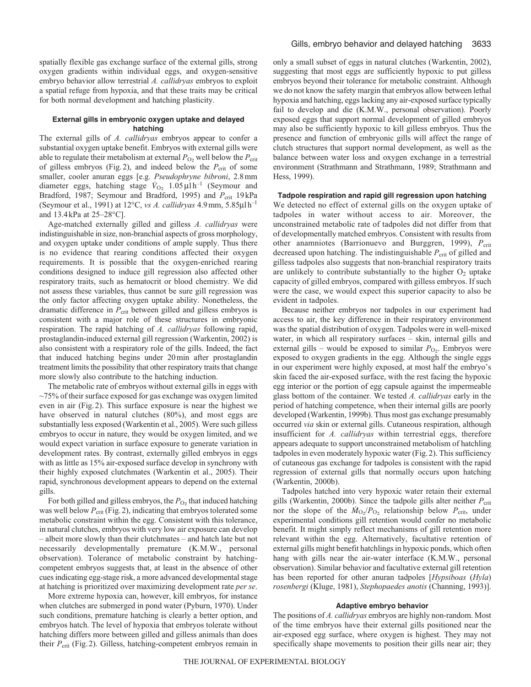spatially flexible gas exchange surface of the external gills, strong oxygen gradients within individual eggs, and oxygen-sensitive embryo behavior allow terrestrial *A. callidryas* embryos to exploit a spatial refuge from hypoxia, and that these traits may be critical for both normal development and hatching plasticity.

## **External gills in embryonic oxygen uptake and delayed hatching**

The external gills of *A. callidryas* embryos appear to confer a substantial oxygen uptake benefit. Embryos with external gills were able to regulate their metabolism at external  $P_{\text{O}_2}$  well below the  $P_{\text{crit}}$ of gilless embryos (Fig.2), and indeed below the  $P_{\text{crit}}$  of some smaller, cooler anuran eggs [e.g. *Pseudophryne bibroni*, 2.8mm diameter eggs, hatching stage  $\dot{V}_{\text{O}_2}$  1.05  $\mu$ 1h<sup>-1</sup> (Seymour and Bradford, 1987; Seymour and Bradford, 1995) and  $P_{\text{crit}}$  19kPa (Seymour et al., 1991) at 12°C, *vs A. callidryas* 4.9mm, 5.85μlh–1 and 13.4kPa at 25–28°C].

Age-matched externally gilled and gilless *A. callidryas* were indistinguishable in size, non-branchial aspects of gross morphology, and oxygen uptake under conditions of ample supply. Thus there is no evidence that rearing conditions affected their oxygen requirements. It is possible that the oxygen-enriched rearing conditions designed to induce gill regression also affected other respiratory traits, such as hematocrit or blood chemistry. We did not assess these variables, thus cannot be sure gill regression was the only factor affecting oxygen uptake ability. Nonetheless, the dramatic difference in  $P_{\text{crit}}$  between gilled and gilless embryos is consistent with a major role of these structures in embryonic respiration. The rapid hatching of *A. callidryas* following rapid, prostaglandin-induced external gill regression (Warkentin, 2002) is also consistent with a respiratory role of the gills. Indeed, the fact that induced hatching begins under 20min after prostaglandin treatment limits the possibility that other respiratory traits that change more slowly also contribute to the hatching induction.

The metabolic rate of embryos without external gills in eggs with  $\sim$ 75% of their surface exposed for gas exchange was oxygen limited even in air (Fig.2). This surface exposure is near the highest we have observed in natural clutches (80%), and most eggs are substantially less exposed (Warkentin et al., 2005). Were such gilless embryos to occur in nature, they would be oxygen limited, and we would expect variation in surface exposure to generate variation in development rates. By contrast, externally gilled embryos in eggs with as little as 15% air-exposed surface develop in synchrony with their highly exposed clutchmates (Warkentin et al., 2005). Their rapid, synchronous development appears to depend on the external gills.

For both gilled and gilless embryos, the  $P_{O_2}$  that induced hatching was well below  $P_{\text{crit}}$  (Fig. 2), indicating that embryos tolerated some metabolic constraint within the egg. Consistent with this tolerance, in natural clutches, embryos with very low air exposure can develop – albeit more slowly than their clutchmates – and hatch late but not necessarily developmentally premature (K.M.W., personal observation). Tolerance of metabolic constraint by hatchingcompetent embryos suggests that, at least in the absence of other cues indicating egg-stage risk, a more advanced developmental stage at hatching is prioritized over maximizing development rate *per se*.

More extreme hypoxia can, however, kill embryos, for instance when clutches are submerged in pond water (Pyburn, 1970). Under such conditions, premature hatching is clearly a better option, and embryos hatch. The level of hypoxia that embryos tolerate without hatching differs more between gilled and gilless animals than does their  $P_{\text{crit}}$  (Fig. 2). Gilless, hatching-competent embryos remain in only a small subset of eggs in natural clutches (Warkentin, 2002), suggesting that most eggs are sufficiently hypoxic to put gilless embryos beyond their tolerance for metabolic constraint. Although we do not know the safety margin that embryos allow between lethal hypoxia and hatching, eggs lacking any air-exposed surface typically fail to develop and die (K.M.W., personal observation). Poorly exposed eggs that support normal development of gilled embryos may also be sufficiently hypoxic to kill gilless embryos. Thus the presence and function of embryonic gills will affect the range of clutch structures that support normal development, as well as the balance between water loss and oxygen exchange in a terrestrial environment (Strathmann and Strathmann, 1989; Strathmann and Hess, 1999).

## **Tadpole respiration and rapid gill regression upon hatching**

We detected no effect of external gills on the oxygen uptake of tadpoles in water without access to air. Moreover, the unconstrained metabolic rate of tadpoles did not differ from that of developmentally matched embryos. Consistent with results from other anamniotes (Barrionuevo and Burggren, 1999), P<sub>crit</sub> decreased upon hatching. The indistinguishable  $P_{\text{crit}}$  of gilled and gilless tadpoles also suggests that non-branchial respiratory traits are unlikely to contribute substantially to the higher  $O_2$  uptake capacity of gilled embryos, compared with gilless embryos. If such were the case, we would expect this superior capacity to also be evident in tadpoles.

Because neither embryos nor tadpoles in our experiment had access to air, the key difference in their respiratory environment was the spatial distribution of oxygen. Tadpoles were in well-mixed water, in which all respiratory surfaces – skin, internal gills and external gills – would be exposed to similar  $P_{\text{O}_2}$ . Embryos were exposed to oxygen gradients in the egg. Although the single eggs in our experiment were highly exposed, at most half the embryo's skin faced the air-exposed surface, with the rest facing the hypoxic egg interior or the portion of egg capsule against the impermeable glass bottom of the container. We tested *A. callidryas* early in the period of hatching competence, when their internal gills are poorly developed (Warkentin, 1999b). Thus most gas exchange presumably occurred *via* skin or external gills. Cutaneous respiration, although insufficient for *A. callidryas* within terrestrial eggs, therefore appears adequate to support unconstrained metabolism of hatchling tadpoles in even moderately hypoxic water (Fig.2). This sufficiency of cutaneous gas exchange for tadpoles is consistent with the rapid regression of external gills that normally occurs upon hatching (Warkentin, 2000b).

Tadpoles hatched into very hypoxic water retain their external gills (Warkentin, 2000b). Since the tadpole gills alter neither  $P_{\text{crit}}$ nor the slope of the  $\dot{M}_{\text{O}_2}/P_{\text{O}_2}$  relationship below  $P_{\text{crit}}$ , under experimental conditions gill retention would confer no metabolic benefit. It might simply reflect mechanisms of gill retention more relevant within the egg. Alternatively, facultative retention of external gills might benefit hatchlings in hypoxic ponds, which often hang with gills near the air-water interface (K.M.W., personal observation). Similar behavior and facultative external gill retention has been reported for other anuran tadpoles [*Hypsiboas* (*Hyla*) *rosenbergi* (Kluge, 1981), *Stephopaedes anotis* (Channing, 1993)].

#### **Adaptive embryo behavior**

The positions of *A. callidryas* embryos are highly non-random. Most of the time embryos have their external gills positioned near the air-exposed egg surface, where oxygen is highest. They may not specifically shape movements to position their gills near air; they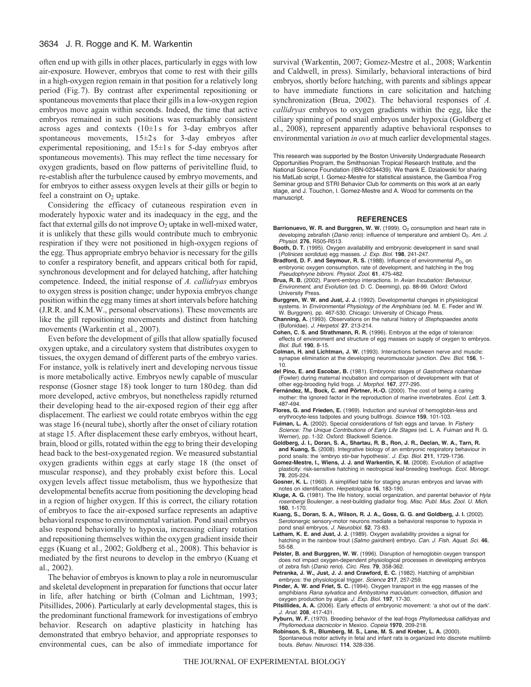## 3634 J. R. Rogge and K. M. Warkentin

often end up with gills in other places, particularly in eggs with low air-exposure. However, embryos that come to rest with their gills in a high-oxygen region remain in that position for a relatively long period (Fig.7). By contrast after experimental repositioning or spontaneous movements that place their gills in a low-oxygen region embryos move again within seconds. Indeed, the time that active embryos remained in such positions was remarkably consistent across ages and contexts (10±1 s for 3-day embryos after spontaneous movements,  $15\pm2$  s for 3-day embryos after experimental repositioning, and 15±1s for 5-day embryos after spontaneous movements). This may reflect the time necessary for oxygen gradients, based on flow patterns of perivitelline fluid, to re-establish after the turbulence caused by embryo movements, and for embryos to either assess oxygen levels at their gills or begin to feel a constraint on  $O_2$  uptake.

Considering the efficacy of cutaneous respiration even in moderately hypoxic water and its inadequacy in the egg, and the fact that external gills do not improve  $O_2$  uptake in well-mixed water, it is unlikely that these gills would contribute much to embryonic respiration if they were not positioned in high-oxygen regions of the egg. Thus appropriate embryo behavior is necessary for the gills to confer a respiratory benefit, and appears critical both for rapid, synchronous development and for delayed hatching, after hatching competence. Indeed, the initial response of *A. callidryas* embryos to oxygen stress is position change; under hypoxia embryos change position within the egg many times at short intervals before hatching (J.R.R. and K.M.W., personal observations). These movements are like the gill repositioning movements and distinct from hatching movements (Warkentin et al., 2007).

Even before the development of gills that allow spatially focused oxygen uptake, and a circulatory system that distributes oxygen to tissues, the oxygen demand of different parts of the embryo varies. For instance, yolk is relatively inert and developing nervous tissue is more metabolically active. Embryos newly capable of muscular response (Gosner stage 18) took longer to turn 180deg. than did more developed, active embryos, but nonetheless rapidly returned their developing head to the air-exposed region of their egg after displacement. The earliest we could rotate embryos within the egg was stage 16 (neural tube), shortly after the onset of ciliary rotation at stage 15. After displacement these early embryos, without heart, brain, blood or gills, rotated within the egg to bring their developing head back to the best-oxygenated region. We measured substantial oxygen gradients within eggs at early stage 18 (the onset of muscular response), and they probably exist before this. Local oxygen levels affect tissue metabolism, thus we hypothesize that developmental benefits accrue from positioning the developing head in a region of higher oxygen. If this is correct, the ciliary rotation of embryos to face the air-exposed surface represents an adaptive behavioral response to environmental variation. Pond snail embryos also respond behaviorally to hypoxia, increasing ciliary rotation and repositioning themselves within the oxygen gradient inside their eggs (Kuang et al., 2002; Goldberg et al., 2008). This behavior is mediated by the first neurons to develop in the embryo (Kuang et al., 2002).

The behavior of embryos is known to play a role in neuromuscular and skeletal development in preparation for functions that occur later in life, after hatching or birth (Colman and Lichtman, 1993; Pitsillides, 2006). Particularly at early developmental stages, this is the predominant functional framework for investigations of embryo behavior. Research on adaptive plasticity in hatching has demonstrated that embryo behavior, and appropriate responses to environmental cues, can be also of immediate importance for

survival (Warkentin, 2007; Gomez-Mestre et al., 2008; Warkentin and Caldwell, in press). Similarly, behavioral interactions of bird embryos, shortly before hatching, with parents and siblings appear to have immediate functions in care solicitation and hatching synchronization (Brua, 2002). The behavioral responses of *A. callidryas* embryos to oxygen gradients within the egg, like the ciliary spinning of pond snail embryos under hypoxia (Goldberg et al., 2008), represent apparently adaptive behavioral responses to environmental variation *in ovo* at much earlier developmental stages.

This research was supported by the Boston University Undergraduate Research Opportunities Program, the Smithsonian Tropical Research Institute, and the National Science Foundation (IBN-0234439). We thank E. Dzialowski for sharing his MatLab script, I. Gomez-Mestre for statistical assistance, the Gamboa Frog Seminar group and STRI Behavior Club for comments on this work at an early stage, and J. Touchon, I. Gomez-Mestre and A. Wood for comments on the manuscript.

#### **REFERENCES**

- Barrionuevo, W. R. and Burggren, W. W. (1999). O<sub>2</sub> consumption and heart rate in developing zebrafish (Danio rerio): influence of temperature and ambient O<sub>2</sub>. Am. J. Physiol. **276**, R505-R513.
- **Booth, D. T.** (1995). Oxygen availability and embryonic development in sand snail (Polinices sordidus) egg masses. J. Exp. Biol. **198**, 241-247.
- **Bradford, D. F. and Seymour, R. S.** (1988). Influence of environmental  $P_{O_2}$  on embryonic oxygen consumption, rate of development, and hatching in the frog Pseudophryne bibroni. Physiol. Zool. **61**, 475-482.
- **Brua, R. B.** (2002). Parent-embryo interactions. In Avian Incubation: Behaviour, Environment, and Evolution (ed. D. C. Deeming), pp. 88-99. Oxford: Oxford University Press.
- **Burggren, W. W. and Just, J. J.** (1992). Developmental changes in physiological systems. In Environmental Physiology of the Amphibians (ed. M. E. Feder and W. W. Burggren), pp. 467-530. Chicago: University of Chicago Press.
- **Channing, A.** (1993). Observations on the natural history of Stephopaedes anotis (Bufonidae). J. Herpetol. **27**, 213-214.
- **Cohen, C. S. and Strathmann, R. R.** (1996). Embryos at the edge of tolerance: effects of environment and structure of egg masses on supply of oxygen to embryos. Biol. Bull. **190**, 8-15.
- **Colman, H. and Lichtman, J. W.** (1993). Interactions between nerve and muscle: synapse elimination at the developing neuromuscular junction. Dev. Biol. **156**, 1- 10.
- **del Pino, E. and Escobar, B.** (1981). Embryonic stages of Gastrotheca riobambae (Fowler) during maternal incubation and comparison of development with that of other egg-brooding hylid frogs. J. Morphol. **167**, 277-295.
- **Fernández, M., Bock, C. and Pörtner, H.-O.** (2000). The cost of being a caring mother: the ignored factor in the reproduction of marine invertebrates. Ecol. Lett. **3**, 487-494.
- **Flores, G. and Frieden, E.** (1969). Induction and survival of hemoglobin-less and erythrocyte-less tadpoles and young bullfrogs. Science **159**, 101-103.
- **Fuiman, L. A.** (2002). Special considerations of fish eggs and larvae. In Fishery Science: The Unique Contributions of Early Life Stages (ed. L. A. Fuiman and R. G. Werner), pp. 1-32. Oxford: Blackwell Science.
- **Goldberg, J. I., Doran, S. A., Shartau, R. B., Ron, J. R., Declan, W. A., Tarn, R. and Kuang, S.** (2008). Integrative biology of an embryonic respiratory behaviour in pond snails: the ʻembryo stir-bar hypothesis'. J. Exp. Biol. **211**, 1729-1736.
- **Gomez-Mestre, I., Wiens, J. J. and Warkentin, K. M.** (2008). Evolution of adaptive plasticity: risk-sensitive hatching in neotropical leaf-breeding treefrogs. Ecol. Monogr. **78**, 205-224.
- **Gosner, K. L.** (1960). A simplified table for staging anuran embryos and larvae with notes on identification. Herpetologica **16**, 183-190.
- **Kluge, A. G.** (1981). The life history, social organization, and parental behavior of Hyla rosenbergi Boulenger, a nest-building gladiator frog. Misc. Publ. Mus. Zool. U. Mich. **160**, 1-170.
- **Kuang, S., Doran, S. A., Wilson, R. J. A., Goss, G. G. and Goldberg, J. I.** (2002). Serotonergic sensory-motor neurons mediate a behavioral response to hypoxia in pond snail embryos. J. Neurobiol. **52**, 73-83.
- **Latham, K. E. and Just, J. J.** (1989). Oxygen availability provides a signal for hatching in the rainbow trout (Salmo gairdneri) embryo. Can. J. Fish. Aquat. Sci. **46**, 55-58.
- **Pelster, B. and Burggren, W. W.** (1996). Disruption of hemoglobin oxygen transport does not impact oxygen-dependent physiological processes in developing embryos of zebra fish (Danio rerio). Circ. Res. **79**, 358-362.
- **Petranka, J. W., Just, J. J. and Crawford, E. C.** (1982). Hatching of amphibian embryos: the physiological trigger. Science **217**, 257-259.
- **Pinder, A. W. and Friet, S. C.** (1994). Oxygen transport in the egg masses of the amphibians Rana sylvatica and Ambystoma maculatum: convection, diffusion and oxygen production by algae. J. Exp. Biol. **197**, 17-30.
- **Pitsillides, A. A.** (2006). Early effects of embryonic movement: ʻa shot out of the dark'. J. Anat. **208**, 417-431.
- Pyburn, W. F. (1970). Breeding behavior of the leaf-frogs Phyllomedusa callidryas and Phyllomedusa dacnicolor in Mexico. Copeia **1970**, 209-218.
- **Robinson, S. R., Blumberg, M. S., Lane, M. S. and Kreber, L. A.** (2000). Spontaneous motor activity in fetal and infant rats is organized into discrete multilimb bouts. Behav. Neurosci. **114**, 328-336.